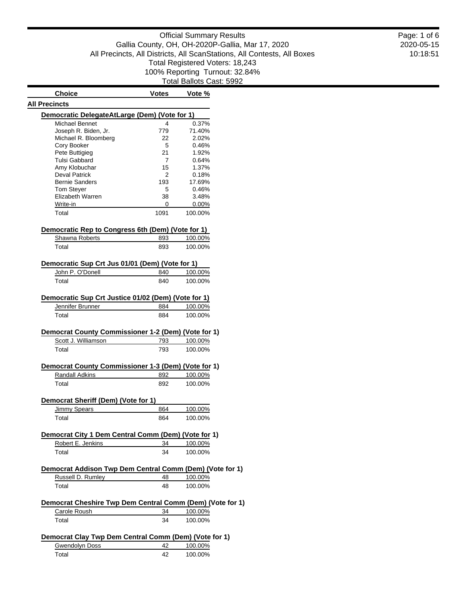### Official Summary Results Gallia County, OH, OH-2020P-Gallia, Mar 17, 2020 All Precincts, All Districts, All ScanStations, All Contests, All Boxes Total Registered Voters: 18,243 100% Reporting Turnout: 32.84% Total Ballots Cast: 5992

**Choice Votes Vote % All Precincts Democratic DelegateAtLarge (Dem) (Vote for 1)** Michael Bennet 4 0.37% Joseph R. Biden, Jr. 779 71.40% Michael R. Bloomberg 22 2.02% Cory Booker 5 0.46% Pete Buttigieg 21 1.92% Tulsi Gabbard 7 0.64% Amy Klobuchar 15 1.37% Deval Patrick 2 0.18% Bernie Sanders 193 17.69% Tom Steyer 5 0.46% Elizabeth Warren 38 3.48% Write-in 0 0.00% Total 100.00% **Democratic Rep to Congress 6th (Dem) (Vote for 1)** Shawna Roberts 893 100.00% Total 893 100.00% **Democratic Sup Crt Jus 01/01 (Dem) (Vote for 1)** John P. O'Donell 840 100.00% Total 840 100.00% **Democratic Sup Crt Justice 01/02 (Dem) (Vote for 1)** Jennifer Brunner 884 100.00% Total 884 100.00% **Democrat County Commissioner 1-2 (Dem) (Vote for 1)** Scott J. Williamson 793 100.00% Total 793 100.00% **Democrat County Commissioner 1-3 (Dem) (Vote for 1)** Randall Adkins 892 100.00% Total 892 100.00% **Democrat Sheriff (Dem) (Vote for 1)** Jimmy Spears 864 100.00% Total 864 100.00% **Democrat City 1 Dem Central Comm (Dem) (Vote for 1)** Robert E. Jenkins 34 100.00% Total 34 100.00%

# **Democrat Addison Twp Dem Central Comm (Dem) (Vote for 1)** Russell D. Rumley 48 100.00% Total 48 100.00% **Democrat Cheshire Twp Dem Central Comm (Dem) (Vote for 1)** Carole Roush 34 100.00%

# Total 34 100.00% **Democrat Clay Twp Dem Central Comm (Dem) (Vote for 1)** Gwendolyn Doss 42 100.00%

| <b>OWGHUURH DUSS</b> | ---- | 1 UU.UU 70 |
|----------------------|------|------------|
| ⊺otal                |      | 100.00%    |

2020-05-15 10:18:51 Page: 1 of 6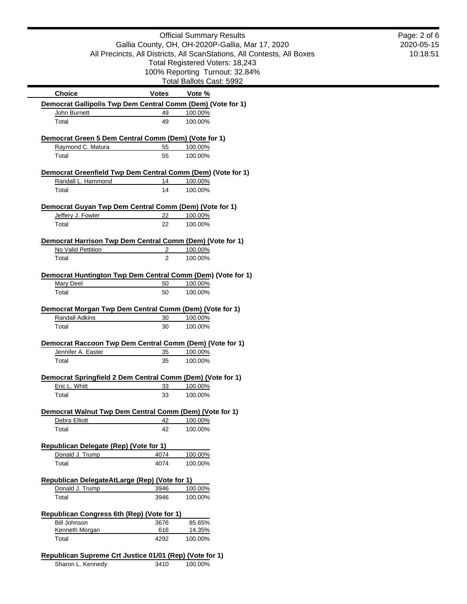|                                                                                 |                | <b>Official Summary Results</b>                                         | Page: 2 of 6 |
|---------------------------------------------------------------------------------|----------------|-------------------------------------------------------------------------|--------------|
|                                                                                 |                | Gallia County, OH, OH-2020P-Gallia, Mar 17, 2020                        | 2020-05-15   |
|                                                                                 |                | All Precincts, All Districts, All ScanStations, All Contests, All Boxes | 10:18:51     |
|                                                                                 |                | Total Registered Voters: 18,243                                         |              |
|                                                                                 |                | 100% Reporting Turnout: 32.84%                                          |              |
|                                                                                 |                | Total Ballots Cast: 5992                                                |              |
| <b>Choice</b>                                                                   | <b>Votes</b>   | Vote %                                                                  |              |
| Democrat Gallipolis Twp Dem Central Comm (Dem) (Vote for 1)                     |                |                                                                         |              |
| John Burnett                                                                    | 49             | 100.00%                                                                 |              |
| Total                                                                           | 49             | 100.00%                                                                 |              |
| Democrat Green 5 Dem Central Comm (Dem) (Vote for 1)                            |                |                                                                         |              |
| Raymond C. Matura                                                               | 55             | 100.00%                                                                 |              |
| Total                                                                           | 55             | 100.00%                                                                 |              |
|                                                                                 |                |                                                                         |              |
| Democrat Greenfield Twp Dem Central Comm (Dem) (Vote for 1)                     |                |                                                                         |              |
| Randall L. Hammond                                                              | 14             | 100.00%                                                                 |              |
| Total                                                                           | 14             | 100.00%                                                                 |              |
| Democrat Guyan Twp Dem Central Comm (Dem) (Vote for 1)                          |                |                                                                         |              |
| Jeffery J. Fowler                                                               | 22             | 100.00%                                                                 |              |
| Total                                                                           | 22             | 100.00%                                                                 |              |
|                                                                                 |                |                                                                         |              |
| Democrat Harrison Twp Dem Central Comm (Dem) (Vote for 1)                       |                |                                                                         |              |
| No Valid Pettition                                                              | 2              | 100.00%                                                                 |              |
| Total                                                                           | $\overline{2}$ | 100.00%                                                                 |              |
|                                                                                 |                |                                                                         |              |
| Democrat Huntington Twp Dem Central Comm (Dem) (Vote for 1)<br><b>Mary Deel</b> |                |                                                                         |              |
| Total                                                                           | 50<br>50       | 100.00%<br>100.00%                                                      |              |
|                                                                                 |                |                                                                         |              |
| Democrat Morgan Twp Dem Central Comm (Dem) (Vote for 1)                         |                |                                                                         |              |
| <b>Randall Adkins</b>                                                           | 30             | 100.00%                                                                 |              |
| Total                                                                           | 30             | 100.00%                                                                 |              |
|                                                                                 |                |                                                                         |              |
| Democrat Raccoon Twp Dem Central Comm (Dem) (Vote for 1)                        |                |                                                                         |              |
| Jennifer A. Easter                                                              | 35             | 100.00%                                                                 |              |
| Total                                                                           | 35             | 100.00%                                                                 |              |
| Democrat Springfield 2 Dem Central Comm (Dem) (Vote for 1)                      |                |                                                                         |              |
| Eric L. Whitt                                                                   | 33             | 100.00%                                                                 |              |
| Total                                                                           | 33             | 100.00%                                                                 |              |
|                                                                                 |                |                                                                         |              |
| Democrat Walnut Twp Dem Central Comm (Dem) (Vote for 1)                         |                |                                                                         |              |
| Debra Elliott                                                                   | 42             | 100.00%                                                                 |              |
| Total                                                                           | 42             | 100.00%                                                                 |              |
| Republican Delegate (Rep) (Vote for 1)                                          |                |                                                                         |              |
| Donald J. Trump                                                                 | 4074           | 100.00%                                                                 |              |
| Total                                                                           | 4074           | 100.00%                                                                 |              |
|                                                                                 |                |                                                                         |              |
| Republican DelegateAtLarge (Rep) (Vote for 1)                                   |                |                                                                         |              |
| Donald J. Trump                                                                 | 3946           | 100.00%                                                                 |              |
| Total                                                                           | 3946           | 100.00%                                                                 |              |
|                                                                                 |                |                                                                         |              |
| Republican Congress 6th (Rep) (Vote for 1)                                      |                |                                                                         |              |
| <b>Bill Johnson</b><br>Kenneth Morgan                                           | 3676<br>616    | 85.65%<br>14.35%                                                        |              |
| Total                                                                           | 4292           | 100.00%                                                                 |              |
|                                                                                 |                |                                                                         |              |
| Republican Supreme Crt Justice 01/01 (Rep) (Vote for 1)                         |                |                                                                         |              |
| Sharon L. Kennedy                                                               | 3410           | 100.00%                                                                 |              |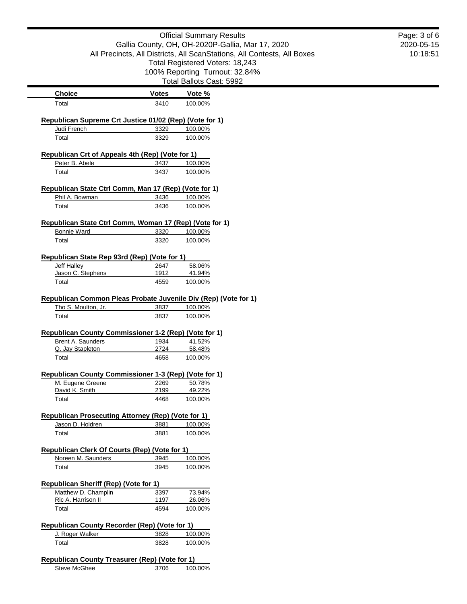|                                                                           |              | <b>Official Summary Results</b>                                         | Page: 3 of 6 |
|---------------------------------------------------------------------------|--------------|-------------------------------------------------------------------------|--------------|
|                                                                           |              | Gallia County, OH, OH-2020P-Gallia, Mar 17, 2020                        | 2020-05-15   |
|                                                                           |              | All Precincts, All Districts, All ScanStations, All Contests, All Boxes | 10:18:51     |
|                                                                           |              | Total Registered Voters: 18,243                                         |              |
|                                                                           |              | 100% Reporting Turnout: 32.84%                                          |              |
|                                                                           |              | Total Ballots Cast: 5992                                                |              |
| <b>Choice</b>                                                             | <b>Votes</b> | Vote %                                                                  |              |
| Total                                                                     | 3410         | 100.00%                                                                 |              |
|                                                                           |              |                                                                         |              |
| Republican Supreme Crt Justice 01/02 (Rep) (Vote for 1)                   |              |                                                                         |              |
| Judi French                                                               | 3329         | 100.00%                                                                 |              |
| Total                                                                     | 3329         | 100.00%                                                                 |              |
| Republican Crt of Appeals 4th (Rep) (Vote for 1)                          |              |                                                                         |              |
| Peter B. Abele                                                            | 3437         | 100.00%                                                                 |              |
| Total                                                                     | 3437         | 100.00%                                                                 |              |
|                                                                           |              |                                                                         |              |
| Republican State Ctrl Comm, Man 17 (Rep) (Vote for 1)                     |              |                                                                         |              |
| Phil A. Bowman                                                            | 3436         | 100.00%                                                                 |              |
| Total                                                                     | 3436         | 100.00%                                                                 |              |
| Republican State Ctrl Comm, Woman 17 (Rep) (Vote for 1)                   |              |                                                                         |              |
| <b>Bonnie Ward</b>                                                        | 3320         | 100.00%                                                                 |              |
| Total                                                                     | 3320         | 100.00%                                                                 |              |
|                                                                           |              |                                                                         |              |
| Republican State Rep 93rd (Rep) (Vote for 1)<br>Jeff Halley               | 2647         | 58.06%                                                                  |              |
| Jason C. Stephens                                                         | 1912         | 41.94%                                                                  |              |
| Total                                                                     | 4559         | 100.00%                                                                 |              |
|                                                                           |              |                                                                         |              |
| Republican Common Pleas Probate Juvenile Div (Rep) (Vote for 1)           |              |                                                                         |              |
| Tho S. Moulton, Jr.                                                       | 3837         | 100.00%                                                                 |              |
| Total                                                                     | 3837         | 100.00%                                                                 |              |
| Republican County Commissioner 1-2 (Rep) (Vote for 1)                     |              |                                                                         |              |
| Brent A. Saunders                                                         | 1934         | 41.52%                                                                  |              |
| Q. Jay Stapleton                                                          | 2724         | 58.48%                                                                  |              |
| Total                                                                     | 4658         | 100.00%                                                                 |              |
|                                                                           |              |                                                                         |              |
| Republican County Commissioner 1-3 (Rep) (Vote for 1)<br>M. Eugene Greene | 2269         | 50.78%                                                                  |              |
| David K. Smith                                                            | 2199         | 49.22%                                                                  |              |
| Total                                                                     | 4468         | 100.00%                                                                 |              |
|                                                                           |              |                                                                         |              |
| Republican Prosecuting Attorney (Rep) (Vote for 1)                        |              |                                                                         |              |
| Jason D. Holdren                                                          | 3881         | 100.00%                                                                 |              |
| Total                                                                     | 3881         | 100.00%                                                                 |              |
| Republican Clerk Of Courts (Rep) (Vote for 1)                             |              |                                                                         |              |
| Noreen M. Saunders                                                        | 3945         | 100.00%                                                                 |              |
| Total                                                                     | 3945         | 100.00%                                                                 |              |
|                                                                           |              |                                                                         |              |
| <b>Republican Sheriff (Rep) (Vote for 1)</b>                              |              |                                                                         |              |
| Matthew D. Champlin<br>Ric A. Harrison II                                 | 3397<br>1197 | 73.94%<br>26.06%                                                        |              |
| Total                                                                     | 4594         | 100.00%                                                                 |              |
|                                                                           |              |                                                                         |              |
| Republican County Recorder (Rep) (Vote for 1)                             |              |                                                                         |              |
| J. Roger Walker                                                           | 3828         | 100.00%                                                                 |              |
| Total                                                                     | 3828         | 100.00%                                                                 |              |
| Republican County Treasurer (Rep) (Vote for 1)                            |              |                                                                         |              |
| <b>Steve McGhee</b>                                                       | 3706         | 100.00%                                                                 |              |
|                                                                           |              |                                                                         |              |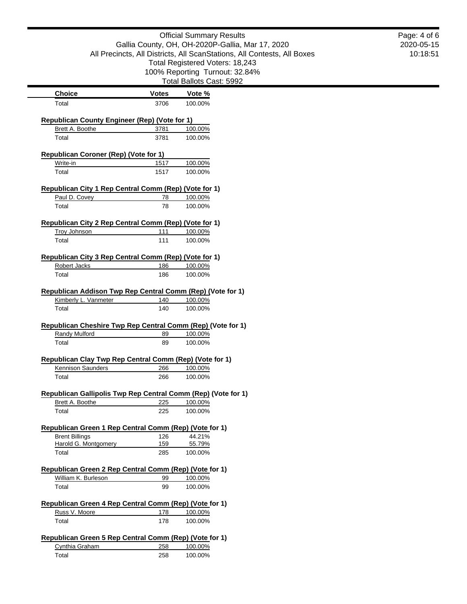## Official Summary Results Gallia County, OH, OH-2020P-Gallia, Mar 17, 2020 All Precincts, All Districts, All ScanStations, All Contests, All Boxes Total Registered Voters: 18,243 100% Reporting Turnout: 32.84% Total Ballots Cast: 5992

| <b>Choice</b>                                                                                                                                                                                                                                                                                                                                                    | <b>Votes</b> | Vote %             |
|------------------------------------------------------------------------------------------------------------------------------------------------------------------------------------------------------------------------------------------------------------------------------------------------------------------------------------------------------------------|--------------|--------------------|
| Total                                                                                                                                                                                                                                                                                                                                                            | 3706         | 100.00%            |
| <b>Republican County Engineer (Rep) (Vote for 1)</b>                                                                                                                                                                                                                                                                                                             |              |                    |
| Brett A. Boothe                                                                                                                                                                                                                                                                                                                                                  | 3781         | 100.00%            |
| Total                                                                                                                                                                                                                                                                                                                                                            | 3781         | 100.00%            |
| <b>Republican Coroner (Rep) (Vote for 1)</b>                                                                                                                                                                                                                                                                                                                     |              |                    |
| Write-in                                                                                                                                                                                                                                                                                                                                                         | 1517         | 100.00%            |
| Total                                                                                                                                                                                                                                                                                                                                                            | 1517         | 100.00%            |
| Republican City 1 Rep Central Comm (Rep) (Vote for 1)                                                                                                                                                                                                                                                                                                            |              |                    |
| Paul D. Covey                                                                                                                                                                                                                                                                                                                                                    | 78           | 100.00%            |
| Total                                                                                                                                                                                                                                                                                                                                                            | 78           | 100.00%            |
| Republican City 2 Rep Central Comm (Rep) (Vote for 1)                                                                                                                                                                                                                                                                                                            |              |                    |
| <b>Troy Johnson</b>                                                                                                                                                                                                                                                                                                                                              | 111          | 100.00%            |
| Total                                                                                                                                                                                                                                                                                                                                                            | 111          | 100.00%            |
| Republican City 3 Rep Central Comm (Rep) (Vote for 1)                                                                                                                                                                                                                                                                                                            |              |                    |
| Robert Jacks                                                                                                                                                                                                                                                                                                                                                     | 186          | 100.00%            |
| Total                                                                                                                                                                                                                                                                                                                                                            | 186          | 100.00%            |
| Republican Addison Twp Rep Central Comm (Rep) (Vote for 1)                                                                                                                                                                                                                                                                                                       |              |                    |
| Kimberly L. Vanmeter                                                                                                                                                                                                                                                                                                                                             | 140          | 100.00%            |
| Total                                                                                                                                                                                                                                                                                                                                                            | 140          | 100.00%            |
| Republican Cheshire Twp Rep Central Comm (Rep) (Vote for 1)<br><b>Randy Mulford</b>                                                                                                                                                                                                                                                                              | 89           | 100.00%            |
|                                                                                                                                                                                                                                                                                                                                                                  |              |                    |
|                                                                                                                                                                                                                                                                                                                                                                  |              |                    |
| Total                                                                                                                                                                                                                                                                                                                                                            | 89           | 100.00%            |
|                                                                                                                                                                                                                                                                                                                                                                  |              |                    |
| Kennison Saunders                                                                                                                                                                                                                                                                                                                                                | 266          | 100.00%            |
| Total                                                                                                                                                                                                                                                                                                                                                            | 266          | 100.00%            |
|                                                                                                                                                                                                                                                                                                                                                                  |              |                    |
| Brett A. Boothe                                                                                                                                                                                                                                                                                                                                                  | 225          | 100.00%            |
| Total                                                                                                                                                                                                                                                                                                                                                            | 225          | 100.00%            |
|                                                                                                                                                                                                                                                                                                                                                                  |              |                    |
| <b>Brent Billings</b>                                                                                                                                                                                                                                                                                                                                            | 126          | 44.21%             |
| Harold G. Montgomery                                                                                                                                                                                                                                                                                                                                             | 159          | 55.79%             |
| Total                                                                                                                                                                                                                                                                                                                                                            | 285          | 100.00%            |
|                                                                                                                                                                                                                                                                                                                                                                  |              |                    |
| William K. Burleson                                                                                                                                                                                                                                                                                                                                              | 99           | 100.00%            |
| Total                                                                                                                                                                                                                                                                                                                                                            | 99           | 100.00%            |
|                                                                                                                                                                                                                                                                                                                                                                  |              |                    |
| Russ V. Moore                                                                                                                                                                                                                                                                                                                                                    | 178          | 100.00%            |
| Total                                                                                                                                                                                                                                                                                                                                                            | 178          | 100.00%            |
| Republican Clay Twp Rep Central Comm (Rep) (Vote for 1)<br>Republican Gallipolis Twp Rep Central Comm (Rep) (Vote for 1)<br>Republican Green 1 Rep Central Comm (Rep) (Vote for 1)<br>Republican Green 2 Rep Central Comm (Rep) (Vote for 1)<br>Republican Green 4 Rep Central Comm (Rep) (Vote for 1)<br>Republican Green 5 Rep Central Comm (Rep) (Vote for 1) |              |                    |
| Cynthia Graham<br>Total                                                                                                                                                                                                                                                                                                                                          | 258<br>258   | 100.00%<br>100.00% |

2020-05-15 10:18:51 Page: 4 of 6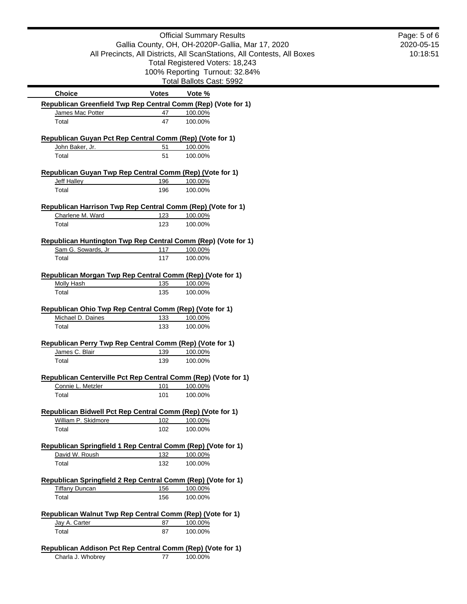|                                                                                     |              | <b>Official Summary Results</b>                                         | Page: 5 of 6 |
|-------------------------------------------------------------------------------------|--------------|-------------------------------------------------------------------------|--------------|
|                                                                                     |              | Gallia County, OH, OH-2020P-Gallia, Mar 17, 2020                        | 2020-05-15   |
|                                                                                     |              | All Precincts, All Districts, All ScanStations, All Contests, All Boxes | 10:18:51     |
|                                                                                     |              | Total Registered Voters: 18,243                                         |              |
|                                                                                     |              | 100% Reporting Turnout: 32.84%<br>Total Ballots Cast: 5992              |              |
| <b>Choice</b>                                                                       |              |                                                                         |              |
| Republican Greenfield Twp Rep Central Comm (Rep) (Vote for 1)                       | <b>Votes</b> | Vote %                                                                  |              |
| James Mac Potter                                                                    | 47           | 100.00%                                                                 |              |
| Total                                                                               | 47           | 100.00%                                                                 |              |
|                                                                                     |              |                                                                         |              |
| Republican Guyan Pct Rep Central Comm (Rep) (Vote for 1)                            |              |                                                                         |              |
| John Baker, Jr.<br>Total                                                            | 51<br>51     | 100.00%<br>100.00%                                                      |              |
|                                                                                     |              |                                                                         |              |
| Republican Guyan Twp Rep Central Comm (Rep) (Vote for 1)                            |              |                                                                         |              |
| Jeff Halley                                                                         | 196          | 100.00%                                                                 |              |
| Total                                                                               | 196          | 100.00%                                                                 |              |
| Republican Harrison Twp Rep Central Comm (Rep) (Vote for 1)                         |              |                                                                         |              |
| Charlene M. Ward                                                                    | 123          | 100.00%                                                                 |              |
| Total                                                                               | 123          | 100.00%                                                                 |              |
|                                                                                     |              |                                                                         |              |
| Republican Huntington Twp Rep Central Comm (Rep) (Vote for 1)                       |              |                                                                         |              |
| Sam G. Sowards, Jr                                                                  | 117          | 100.00%                                                                 |              |
| Total                                                                               | 117          | 100.00%                                                                 |              |
| Republican Morgan Twp Rep Central Comm (Rep) (Vote for 1)                           |              |                                                                         |              |
| <b>Molly Hash</b>                                                                   | 135          | 100.00%                                                                 |              |
| Total                                                                               | 135          | 100.00%                                                                 |              |
|                                                                                     |              |                                                                         |              |
| Republican Ohio Twp Rep Central Comm (Rep) (Vote for 1)<br>Michael D. Daines        |              |                                                                         |              |
| Total                                                                               | 133<br>133   | 100.00%<br>100.00%                                                      |              |
|                                                                                     |              |                                                                         |              |
| Republican Perry Twp Rep Central Comm (Rep) (Vote for 1)                            |              |                                                                         |              |
| James C. Blair                                                                      | 139          | 100.00%                                                                 |              |
| Total                                                                               | 139          | 100.00%                                                                 |              |
|                                                                                     |              |                                                                         |              |
| Republican Centerville Pct Rep Central Comm (Rep) (Vote for 1)<br>Connie L. Metzler | 101          | 100.00%                                                                 |              |
| Total                                                                               | 101          | 100.00%                                                                 |              |
|                                                                                     |              |                                                                         |              |
| Republican Bidwell Pct Rep Central Comm (Rep) (Vote for 1)                          |              |                                                                         |              |
| William P. Skidmore                                                                 | 102          | 100.00%                                                                 |              |
| Total                                                                               | 102          | 100.00%                                                                 |              |
| Republican Springfield 1 Rep Central Comm (Rep) (Vote for 1)                        |              |                                                                         |              |
| David W. Roush                                                                      | 132          | 100.00%                                                                 |              |
| Total                                                                               | 132          | 100.00%                                                                 |              |
|                                                                                     |              |                                                                         |              |
| Republican Springfield 2 Rep Central Comm (Rep) (Vote for 1)                        |              |                                                                         |              |
| <b>Tiffany Duncan</b>                                                               | 156          | 100.00%                                                                 |              |
| Total                                                                               | 156          | 100.00%                                                                 |              |
| Republican Walnut Twp Rep Central Comm (Rep) (Vote for 1)                           |              |                                                                         |              |
| Jay A. Carter                                                                       | 87           | 100.00%                                                                 |              |
| Total                                                                               | 87           | 100.00%                                                                 |              |
|                                                                                     |              |                                                                         |              |
| Republican Addison Pct Rep Central Comm (Rep) (Vote for 1)                          |              |                                                                         |              |
| Charla J. Whobrey                                                                   | 77           | 100.00%                                                                 |              |